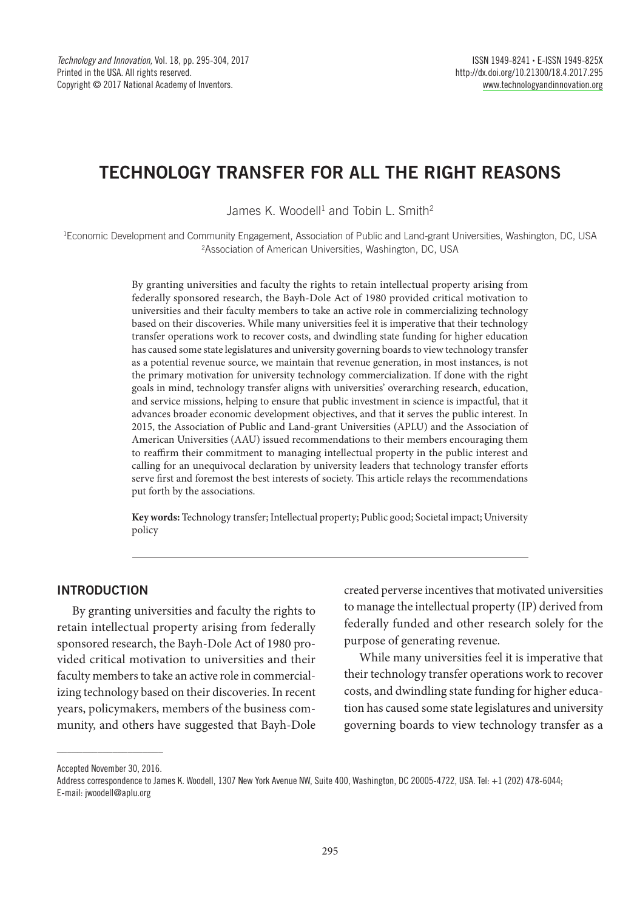# **TECHNOLOGY TRANSFER FOR ALL THE RIGHT REASONS**

James K. Woodell<sup>1</sup> and Tobin L. Smith<sup>2</sup>

1 Economic Development and Community Engagement, Association of Public and Land-grant Universities, Washington, DC, USA 2 Association of American Universities, Washington, DC, USA

> By granting universities and faculty the rights to retain intellectual property arising from federally sponsored research, the Bayh-Dole Act of 1980 provided critical motivation to universities and their faculty members to take an active role in commercializing technology based on their discoveries. While many universities feel it is imperative that their technology transfer operations work to recover costs, and dwindling state funding for higher education has caused some state legislatures and university governing boards to view technology transfer as a potential revenue source, we maintain that revenue generation, in most instances, is not the primary motivation for university technology commercialization. If done with the right goals in mind, technology transfer aligns with universities' overarching research, education, and service missions, helping to ensure that public investment in science is impactful, that it advances broader economic development objectives, and that it serves the public interest. In 2015, the Association of Public and Land-grant Universities (APLU) and the Association of American Universities (AAU) issued recommendations to their members encouraging them to reaffirm their commitment to managing intellectual property in the public interest and calling for an unequivocal declaration by university leaders that technology transfer efforts serve first and foremost the best interests of society. This article relays the recommendations put forth by the associations.

> **Key words:** Technology transfer; Intellectual property; Public good; Societal impact; University policy

## **INTRODUCTION**

By granting universities and faculty the rights to retain intellectual property arising from federally sponsored research, the Bayh-Dole Act of 1980 provided critical motivation to universities and their faculty members to take an active role in commercializing technology based on their discoveries. In recent years, policymakers, members of the business community, and others have suggested that Bayh-Dole created perverse incentives that motivated universities to manage the intellectual property (IP) derived from federally funded and other research solely for the purpose of generating revenue.

While many universities feel it is imperative that their technology transfer operations work to recover costs, and dwindling state funding for higher education has caused some state legislatures and university governing boards to view technology transfer as a

\_\_\_\_\_\_\_\_\_\_\_\_\_\_\_\_\_\_\_\_\_ Accepted November 30, 2016.

Address correspondence to James K. Woodell, 1307 New York Avenue NW, Suite 400, Washington, DC 20005-4722, USA. Tel: +1 (202) 478-6044; E-mail: jwoodell@aplu.org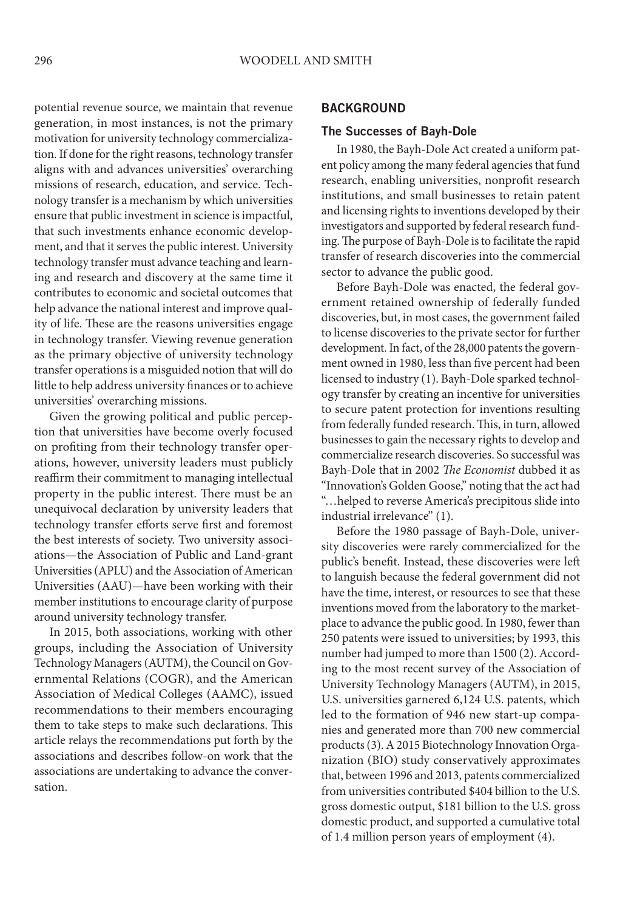potential revenue source, we maintain that revenue generation, in most instances, is not the primary motivation for university technology commercialization. If done for the right reasons, technology transfer aligns with and advances universities' overarching missions of research, education, and service. Technology transfer is a mechanism by which universities ensure that public investment in science is impactful, that such investments enhance economic development, and that it serves the public interest. University technology transfer must advance teaching and learning and research and discovery at the same time it contributes to economic and societal outcomes that help advance the national interest and improve quality of life. These are the reasons universities engage in technology transfer. Viewing revenue generation as the primary objective of university technology transfer operations is a misguided notion that will do little to help address university finances or to achieve universities' overarching missions.

Given the growing political and public perception that universities have become overly focused on profiting from their technology transfer operations, however, university leaders must publicly reaffirm their commitment to managing intellectual property in the public interest. There must be an unequivocal declaration by university leaders that technology transfer efforts serve first and foremost the best interests of society. Two university associations—the Association of Public and Land-grant Universities (APLU) and the Association of American Universities (AAU)—have been working with their member institutions to encourage clarity of purpose around university technology transfer.

In 2015, both associations, working with other groups, including the Association of University Technology Managers (AUTM), the Council on Governmental Relations (COGR), and the American Association of Medical Colleges (AAMC), issued recommendations to their members encouraging them to take steps to make such declarations. This article relays the recommendations put forth by the associations and describes follow-on work that the associations are undertaking to advance the conversation.

#### **BACKGROUND**

#### **The Successes of Bayh-Dole**

In 1980, the Bayh-Dole Act created a uniform patent policy among the many federal agencies that fund research, enabling universities, nonprofit research institutions, and small businesses to retain patent and licensing rights to inventions developed by their investigators and supported by federal research funding. The purpose of Bayh-Dole is to facilitate the rapid transfer of research discoveries into the commercial sector to advance the public good.

Before Bayh-Dole was enacted, the federal government retained ownership of federally funded discoveries, but, in most cases, the government failed to license discoveries to the private sector for further development. In fact, of the 28,000 patents the government owned in 1980, less than five percent had been licensed to industry (1). Bayh-Dole sparked technology transfer by creating an incentive for universities to secure patent protection for inventions resulting from federally funded research. This, in turn, allowed businesses to gain the necessary rights to develop and commercialize research discoveries. So successful was Bayh-Dole that in 2002 *The Economist* dubbed it as "Innovation's Golden Goose," noting that the act had "…helped to reverse America's precipitous slide into industrial irrelevance" (1).

Before the 1980 passage of Bayh-Dole, university discoveries were rarely commercialized for the public's benefit. Instead, these discoveries were left to languish because the federal government did not have the time, interest, or resources to see that these inventions moved from the laboratory to the marketplace to advance the public good. In 1980, fewer than 250 patents were issued to universities; by 1993, this number had jumped to more than 1500 (2). According to the most recent survey of the Association of University Technology Managers (AUTM), in 2015, U.S. universities garnered 6,124 U.S. patents, which led to the formation of 946 new start-up companies and generated more than 700 new commercial products (3). A 2015 Biotechnology Innovation Organization (BIO) study conservatively approximates that, between 1996 and 2013, patents commercialized from universities contributed \$404 billion to the U.S. gross domestic output, \$181 billion to the U.S. gross domestic product, and supported a cumulative total of 1.4 million person years of employment (4).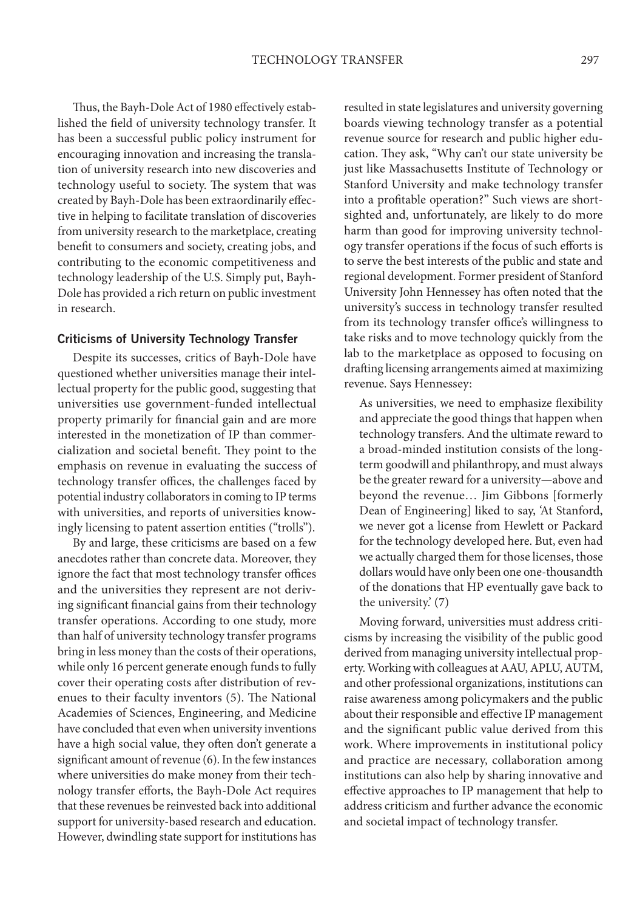Thus, the Bayh-Dole Act of 1980 effectively established the field of university technology transfer. It has been a successful public policy instrument for encouraging innovation and increasing the translation of university research into new discoveries and technology useful to society. The system that was created by Bayh-Dole has been extraordinarily effective in helping to facilitate translation of discoveries from university research to the marketplace, creating benefit to consumers and society, creating jobs, and contributing to the economic competitiveness and technology leadership of the U.S. Simply put, Bayh-Dole has provided a rich return on public investment in research.

## **Criticisms of University Technology Transfer**

Despite its successes, critics of Bayh-Dole have questioned whether universities manage their intellectual property for the public good, suggesting that universities use government-funded intellectual property primarily for financial gain and are more interested in the monetization of IP than commercialization and societal benefit. They point to the emphasis on revenue in evaluating the success of technology transfer offices, the challenges faced by potential industry collaborators in coming to IP terms with universities, and reports of universities knowingly licensing to patent assertion entities ("trolls").

By and large, these criticisms are based on a few anecdotes rather than concrete data. Moreover, they ignore the fact that most technology transfer offices and the universities they represent are not deriving significant financial gains from their technology transfer operations. According to one study, more than half of university technology transfer programs bring in less money than the costs of their operations, while only 16 percent generate enough funds to fully cover their operating costs after distribution of revenues to their faculty inventors (5). The National Academies of Sciences, Engineering, and Medicine have concluded that even when university inventions have a high social value, they often don't generate a significant amount of revenue (6). In the few instances where universities do make money from their technology transfer efforts, the Bayh-Dole Act requires that these revenues be reinvested back into additional support for university-based research and education. However, dwindling state support for institutions has

resulted in state legislatures and university governing boards viewing technology transfer as a potential revenue source for research and public higher education. They ask, "Why can't our state university be just like Massachusetts Institute of Technology or Stanford University and make technology transfer into a profitable operation?" Such views are shortsighted and, unfortunately, are likely to do more harm than good for improving university technology transfer operations if the focus of such efforts is to serve the best interests of the public and state and regional development. Former president of Stanford University John Hennessey has often noted that the university's success in technology transfer resulted from its technology transfer office's willingness to take risks and to move technology quickly from the lab to the marketplace as opposed to focusing on drafting licensing arrangements aimed at maximizing revenue. Says Hennessey:

As universities, we need to emphasize flexibility and appreciate the good things that happen when technology transfers. And the ultimate reward to a broad-minded institution consists of the longterm goodwill and philanthropy, and must always be the greater reward for a university—above and beyond the revenue… Jim Gibbons [formerly Dean of Engineering] liked to say, 'At Stanford, we never got a license from Hewlett or Packard for the technology developed here. But, even had we actually charged them for those licenses, those dollars would have only been one one-thousandth of the donations that HP eventually gave back to the university.' (7)

Moving forward, universities must address criticisms by increasing the visibility of the public good derived from managing university intellectual property. Working with colleagues at AAU, APLU, AUTM, and other professional organizations, institutions can raise awareness among policymakers and the public about their responsible and effective IP management and the significant public value derived from this work. Where improvements in institutional policy and practice are necessary, collaboration among institutions can also help by sharing innovative and effective approaches to IP management that help to address criticism and further advance the economic and societal impact of technology transfer.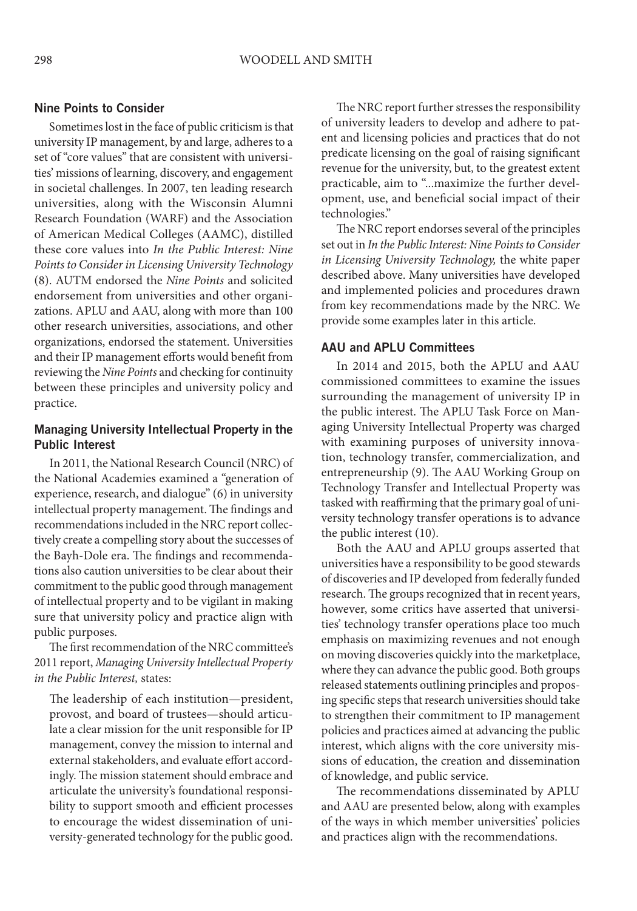#### **Nine Points to Consider**

Sometimes lost in the face of public criticism is that university IP management, by and large, adheres to a set of "core values" that are consistent with universities' missions of learning, discovery, and engagement in societal challenges. In 2007, ten leading research universities, along with the Wisconsin Alumni Research Foundation (WARF) and the Association of American Medical Colleges (AAMC), distilled these core values into *In the Public Interest: Nine Points to Consider in Licensing University Technology* (8). AUTM endorsed the *Nine Points* and solicited endorsement from universities and other organizations. APLU and AAU, along with more than 100 other research universities, associations, and other organizations, endorsed the statement. Universities and their IP management efforts would benefit from reviewing the *Nine Points* and checking for continuity between these principles and university policy and practice.

## **Managing University Intellectual Property in the Public Interest**

In 2011, the National Research Council (NRC) of the National Academies examined a "generation of experience, research, and dialogue" (6) in university intellectual property management. The findings and recommendations included in the NRC report collectively create a compelling story about the successes of the Bayh-Dole era. The findings and recommendations also caution universities to be clear about their commitment to the public good through management of intellectual property and to be vigilant in making sure that university policy and practice align with public purposes.

The first recommendation of the NRC committee's 2011 report, *Managing University Intellectual Property in the Public Interest,* states:

The leadership of each institution—president, provost, and board of trustees—should articulate a clear mission for the unit responsible for IP management, convey the mission to internal and external stakeholders, and evaluate effort accordingly. The mission statement should embrace and articulate the university's foundational responsibility to support smooth and efficient processes to encourage the widest dissemination of university-generated technology for the public good.

The NRC report further stresses the responsibility of university leaders to develop and adhere to patent and licensing policies and practices that do not predicate licensing on the goal of raising significant revenue for the university, but, to the greatest extent practicable, aim to "...maximize the further development, use, and beneficial social impact of their technologies."

The NRC report endorses several of the principles set out in *In the Public Interest: Nine Points to Consider in Licensing University Technology,* the white paper described above. Many universities have developed and implemented policies and procedures drawn from key recommendations made by the NRC. We provide some examples later in this article.

# **AAU and APLU Committees**

In 2014 and 2015, both the APLU and AAU commissioned committees to examine the issues surrounding the management of university IP in the public interest. The APLU Task Force on Managing University Intellectual Property was charged with examining purposes of university innovation, technology transfer, commercialization, and entrepreneurship (9). The AAU Working Group on Technology Transfer and Intellectual Property was tasked with reaffirming that the primary goal of university technology transfer operations is to advance the public interest (10).

Both the AAU and APLU groups asserted that universities have a responsibility to be good stewards of discoveries and IP developed from federally funded research. The groups recognized that in recent years, however, some critics have asserted that universities' technology transfer operations place too much emphasis on maximizing revenues and not enough on moving discoveries quickly into the marketplace, where they can advance the public good. Both groups released statements outlining principles and proposing specific steps that research universities should take to strengthen their commitment to IP management policies and practices aimed at advancing the public interest, which aligns with the core university missions of education, the creation and dissemination of knowledge, and public service.

The recommendations disseminated by APLU and AAU are presented below, along with examples of the ways in which member universities' policies and practices align with the recommendations.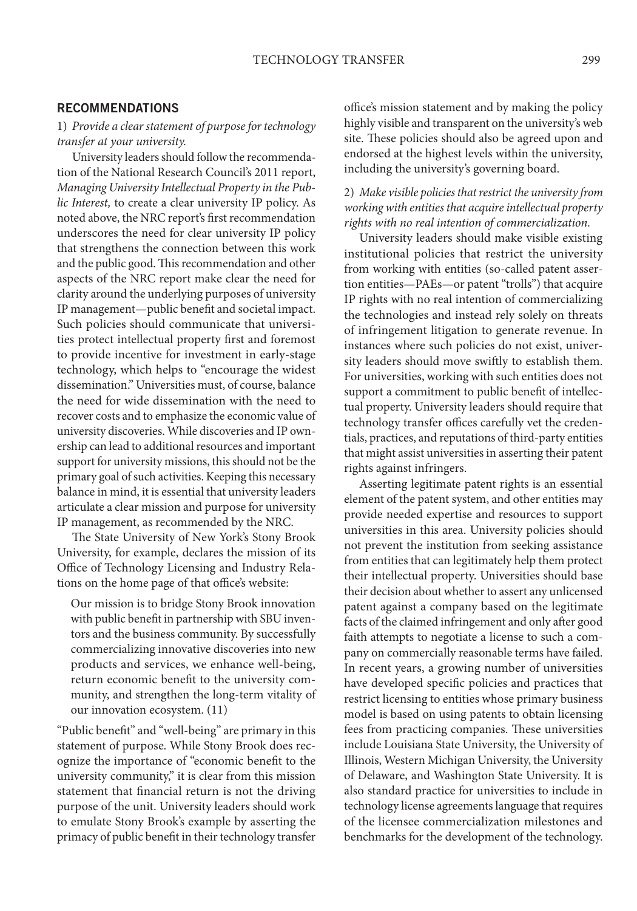#### **RECOMMENDATIONS**

1) *Provide a clear statement of purpose for technology transfer at your university.*

University leaders should follow the recommendation of the National Research Council's 2011 report, *Managing University Intellectual Property in the Public Interest,* to create a clear university IP policy. As noted above, the NRC report's first recommendation underscores the need for clear university IP policy that strengthens the connection between this work and the public good. This recommendation and other aspects of the NRC report make clear the need for clarity around the underlying purposes of university IP management—public benefit and societal impact. Such policies should communicate that universities protect intellectual property first and foremost to provide incentive for investment in early-stage technology, which helps to "encourage the widest dissemination." Universities must, of course, balance the need for wide dissemination with the need to recover costs and to emphasize the economic value of university discoveries. While discoveries and IP ownership can lead to additional resources and important support for university missions, this should not be the primary goal of such activities. Keeping this necessary balance in mind, it is essential that university leaders articulate a clear mission and purpose for university IP management, as recommended by the NRC.

The State University of New York's Stony Brook University, for example, declares the mission of its Office of Technology Licensing and Industry Relations on the home page of that office's website:

Our mission is to bridge Stony Brook innovation with public benefit in partnership with SBU inventors and the business community. By successfully commercializing innovative discoveries into new products and services, we enhance well-being, return economic benefit to the university community, and strengthen the long-term vitality of our innovation ecosystem. (11)

"Public benefit" and "well-being" are primary in this statement of purpose. While Stony Brook does recognize the importance of "economic benefit to the university community," it is clear from this mission statement that financial return is not the driving purpose of the unit. University leaders should work to emulate Stony Brook's example by asserting the primacy of public benefit in their technology transfer

office's mission statement and by making the policy highly visible and transparent on the university's web site. These policies should also be agreed upon and endorsed at the highest levels within the university, including the university's governing board.

# 2) *Make visible policies that restrict the university from working with entities that acquire intellectual property rights with no real intention of commercialization.*

University leaders should make visible existing institutional policies that restrict the university from working with entities (so-called patent assertion entities—PAEs—or patent "trolls") that acquire IP rights with no real intention of commercializing the technologies and instead rely solely on threats of infringement litigation to generate revenue. In instances where such policies do not exist, university leaders should move swiftly to establish them. For universities, working with such entities does not support a commitment to public benefit of intellectual property. University leaders should require that technology transfer offices carefully vet the credentials, practices, and reputations of third-party entities that might assist universities in asserting their patent rights against infringers.

Asserting legitimate patent rights is an essential element of the patent system, and other entities may provide needed expertise and resources to support universities in this area. University policies should not prevent the institution from seeking assistance from entities that can legitimately help them protect their intellectual property. Universities should base their decision about whether to assert any unlicensed patent against a company based on the legitimate facts of the claimed infringement and only after good faith attempts to negotiate a license to such a company on commercially reasonable terms have failed. In recent years, a growing number of universities have developed specific policies and practices that restrict licensing to entities whose primary business model is based on using patents to obtain licensing fees from practicing companies. These universities include Louisiana State University, the University of Illinois, Western Michigan University, the University of Delaware, and Washington State University. It is also standard practice for universities to include in technology license agreements language that requires of the licensee commercialization milestones and benchmarks for the development of the technology.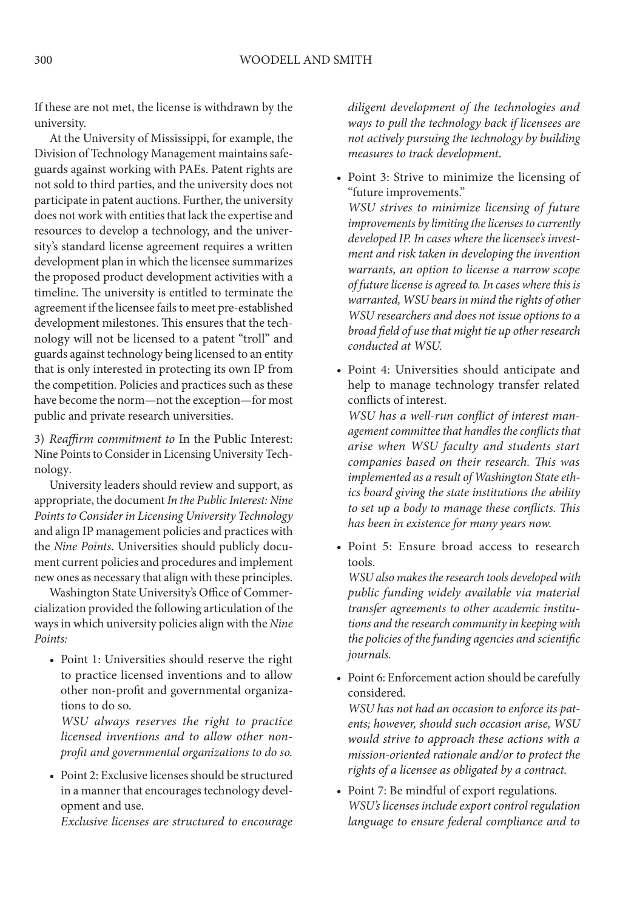If these are not met, the license is withdrawn by the university.

At the University of Mississippi, for example, the Division of Technology Management maintains safeguards against working with PAEs. Patent rights are not sold to third parties, and the university does not participate in patent auctions. Further, the university does not work with entities that lack the expertise and resources to develop a technology, and the university's standard license agreement requires a written development plan in which the licensee summarizes the proposed product development activities with a timeline. The university is entitled to terminate the agreement if the licensee fails to meet pre-established development milestones. This ensures that the technology will not be licensed to a patent "troll" and guards against technology being licensed to an entity that is only interested in protecting its own IP from the competition. Policies and practices such as these have become the norm—not the exception—for most public and private research universities.

3) *Reaffirm commitment to* In the Public Interest: Nine Points to Consider in Licensing University Technology*.*

University leaders should review and support, as appropriate, the document *In the Public Interest: Nine Points to Consider in Licensing University Technology* and align IP management policies and practices with the *Nine Points*. Universities should publicly document current policies and procedures and implement new ones as necessary that align with these principles.

Washington State University's Office of Commercialization provided the following articulation of the ways in which university policies align with the *Nine Points:*

• Point 1: Universities should reserve the right to practice licensed inventions and to allow other non-profit and governmental organizations to do so.

*WSU always reserves the right to practice licensed inventions and to allow other nonprofit and governmental organizations to do so.*

• Point 2: Exclusive licenses should be structured in a manner that encourages technology development and use.

*Exclusive licenses are structured to encourage* 

*diligent development of the technologies and ways to pull the technology back if licensees are not actively pursuing the technology by building measures to track development*.

• Point 3: Strive to minimize the licensing of "future improvements."

*WSU strives to minimize licensing of future improvements by limiting the licenses to currently developed IP. In cases where the licensee's investment and risk taken in developing the invention warrants, an option to license a narrow scope of future license is agreed to. In cases where this is warranted, WSU bears in mind the rights of other WSU researchers and does not issue options to a broad field of use that might tie up other research conducted at WSU.*

• Point 4: Universities should anticipate and help to manage technology transfer related conflicts of interest.

*WSU has a well-run conflict of interest management committee that handles the conflicts that arise when WSU faculty and students start companies based on their research. This was implemented as a result of Washington State ethics board giving the state institutions the ability to set up a body to manage these conflicts. This has been in existence for many years now.*

• Point 5: Ensure broad access to research tools.

*WSU also makes the research tools developed with public funding widely available via material transfer agreements to other academic institutions and the research community in keeping with the policies of the funding agencies and scientific journals.*

• Point 6: Enforcement action should be carefully considered.

*WSU has not had an occasion to enforce its patents; however, should such occasion arise, WSU would strive to approach these actions with a mission-oriented rationale and/or to protect the rights of a licensee as obligated by a contract.*

• Point 7: Be mindful of export regulations. *WSU's licenses include export control regulation language to ensure federal compliance and to*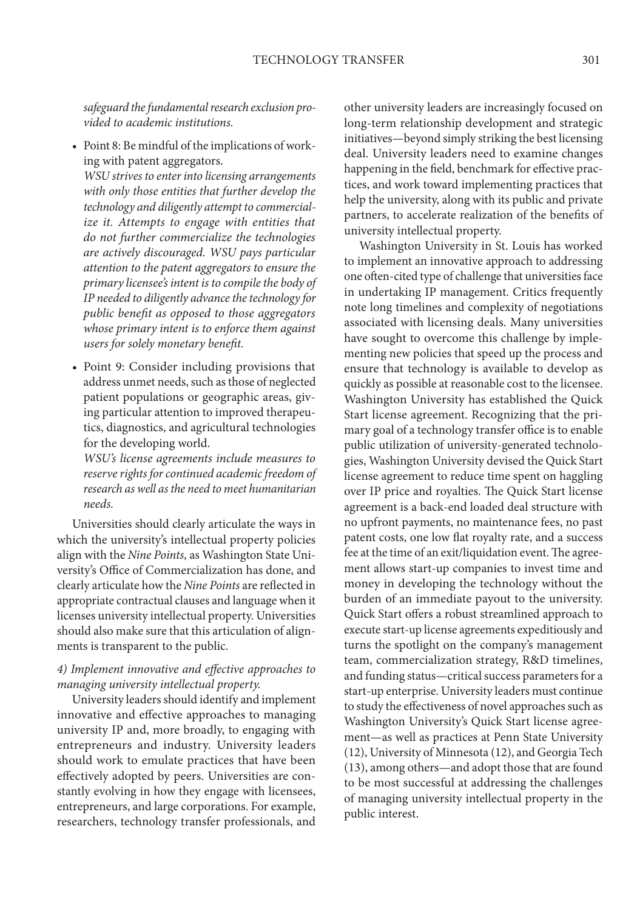*safeguard the fundamental research exclusion provided to academic institutions.*

• Point 8: Be mindful of the implications of working with patent aggregators.

*WSU strives to enter into licensing arrangements with only those entities that further develop the technology and diligently attempt to commercialize it. Attempts to engage with entities that do not further commercialize the technologies are actively discouraged. WSU pays particular attention to the patent aggregators to ensure the primary licensee's intent is to compile the body of IP needed to diligently advance the technology for public benefit as opposed to those aggregators whose primary intent is to enforce them against users for solely monetary benefit.*

• Point 9: Consider including provisions that address unmet needs, such as those of neglected patient populations or geographic areas, giving particular attention to improved therapeutics, diagnostics, and agricultural technologies for the developing world.

*WSU's license agreements include measures to reserve rights for continued academic freedom of research as well as the need to meet humanitarian needs.*

Universities should clearly articulate the ways in which the university's intellectual property policies align with the *Nine Points,* as Washington State University's Office of Commercialization has done, and clearly articulate how the *Nine Points* are reflected in appropriate contractual clauses and language when it licenses university intellectual property. Universities should also make sure that this articulation of alignments is transparent to the public.

#### *4) Implement innovative and effective approaches to managing university intellectual property.*

University leaders should identify and implement innovative and effective approaches to managing university IP and, more broadly, to engaging with entrepreneurs and industry. University leaders should work to emulate practices that have been effectively adopted by peers. Universities are constantly evolving in how they engage with licensees, entrepreneurs, and large corporations. For example, researchers, technology transfer professionals, and

other university leaders are increasingly focused on long-term relationship development and strategic initiatives—beyond simply striking the best licensing deal. University leaders need to examine changes happening in the field, benchmark for effective practices, and work toward implementing practices that help the university, along with its public and private partners, to accelerate realization of the benefits of university intellectual property.

Washington University in St. Louis has worked to implement an innovative approach to addressing one often-cited type of challenge that universities face in undertaking IP management. Critics frequently note long timelines and complexity of negotiations associated with licensing deals. Many universities have sought to overcome this challenge by implementing new policies that speed up the process and ensure that technology is available to develop as quickly as possible at reasonable cost to the licensee. Washington University has established the Quick Start license agreement. Recognizing that the primary goal of a technology transfer office is to enable public utilization of university-generated technologies, Washington University devised the Quick Start license agreement to reduce time spent on haggling over IP price and royalties. The Quick Start license agreement is a back-end loaded deal structure with no upfront payments, no maintenance fees, no past patent costs, one low flat royalty rate, and a success fee at the time of an exit/liquidation event. The agreement allows start-up companies to invest time and money in developing the technology without the burden of an immediate payout to the university. Quick Start offers a robust streamlined approach to execute start-up license agreements expeditiously and turns the spotlight on the company's management team, commercialization strategy, R&D timelines, and funding status—critical success parameters for a start-up enterprise. University leaders must continue to study the effectiveness of novel approaches such as Washington University's Quick Start license agreement—as well as practices at Penn State University (12), University of Minnesota (12), and Georgia Tech (13), among others—and adopt those that are found to be most successful at addressing the challenges of managing university intellectual property in the public interest.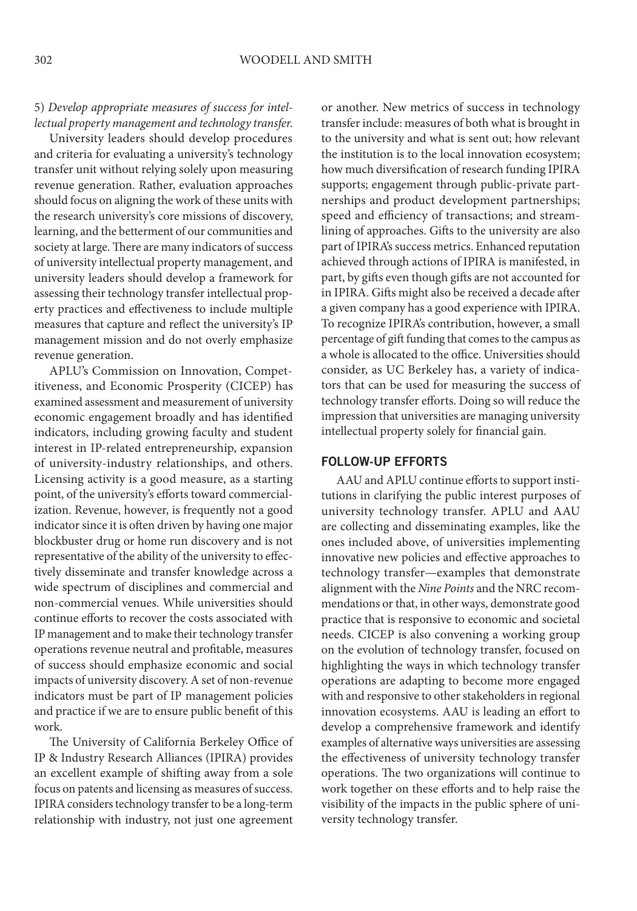## 5) *Develop appropriate measures of success for intellectual property management and technology transfer.*

University leaders should develop procedures and criteria for evaluating a university's technology transfer unit without relying solely upon measuring revenue generation. Rather, evaluation approaches should focus on aligning the work of these units with the research university's core missions of discovery, learning, and the betterment of our communities and society at large. There are many indicators of success of university intellectual property management, and university leaders should develop a framework for assessing their technology transfer intellectual property practices and effectiveness to include multiple measures that capture and reflect the university's IP management mission and do not overly emphasize revenue generation.

APLU's Commission on Innovation, Competitiveness, and Economic Prosperity (CICEP) has examined assessment and measurement of university economic engagement broadly and has identified indicators, including growing faculty and student interest in IP-related entrepreneurship, expansion of university-industry relationships, and others. Licensing activity is a good measure, as a starting point, of the university's efforts toward commercialization. Revenue, however, is frequently not a good indicator since it is often driven by having one major blockbuster drug or home run discovery and is not representative of the ability of the university to effectively disseminate and transfer knowledge across a wide spectrum of disciplines and commercial and non-commercial venues. While universities should continue efforts to recover the costs associated with IP management and to make their technology transfer operations revenue neutral and profitable, measures of success should emphasize economic and social impacts of university discovery. A set of non-revenue indicators must be part of IP management policies and practice if we are to ensure public benefit of this work.

The University of California Berkeley Office of IP & Industry Research Alliances (IPIRA) provides an excellent example of shifting away from a sole focus on patents and licensing as measures of success. IPIRA considers technology transfer to be a long-term relationship with industry, not just one agreement

or another. New metrics of success in technology transfer include: measures of both what is brought in to the university and what is sent out; how relevant the institution is to the local innovation ecosystem; how much diversification of research funding IPIRA supports; engagement through public-private partnerships and product development partnerships; speed and efficiency of transactions; and streamlining of approaches. Gifts to the university are also part of IPIRA's success metrics. Enhanced reputation achieved through actions of IPIRA is manifested, in part, by gifts even though gifts are not accounted for in IPIRA. Gifts might also be received a decade after a given company has a good experience with IPIRA. To recognize IPIRA's contribution, however, a small percentage of gift funding that comes to the campus as a whole is allocated to the office. Universities should consider, as UC Berkeley has, a variety of indicators that can be used for measuring the success of technology transfer efforts. Doing so will reduce the impression that universities are managing university intellectual property solely for financial gain.

## **FOLLOW-UP EFFORTS**

AAU and APLU continue efforts to support institutions in clarifying the public interest purposes of university technology transfer. APLU and AAU are collecting and disseminating examples, like the ones included above, of universities implementing innovative new policies and effective approaches to technology transfer—examples that demonstrate alignment with the *Nine Points* and the NRC recommendations or that, in other ways, demonstrate good practice that is responsive to economic and societal needs. CICEP is also convening a working group on the evolution of technology transfer, focused on highlighting the ways in which technology transfer operations are adapting to become more engaged with and responsive to other stakeholders in regional innovation ecosystems. AAU is leading an effort to develop a comprehensive framework and identify examples of alternative ways universities are assessing the effectiveness of university technology transfer operations. The two organizations will continue to work together on these efforts and to help raise the visibility of the impacts in the public sphere of university technology transfer.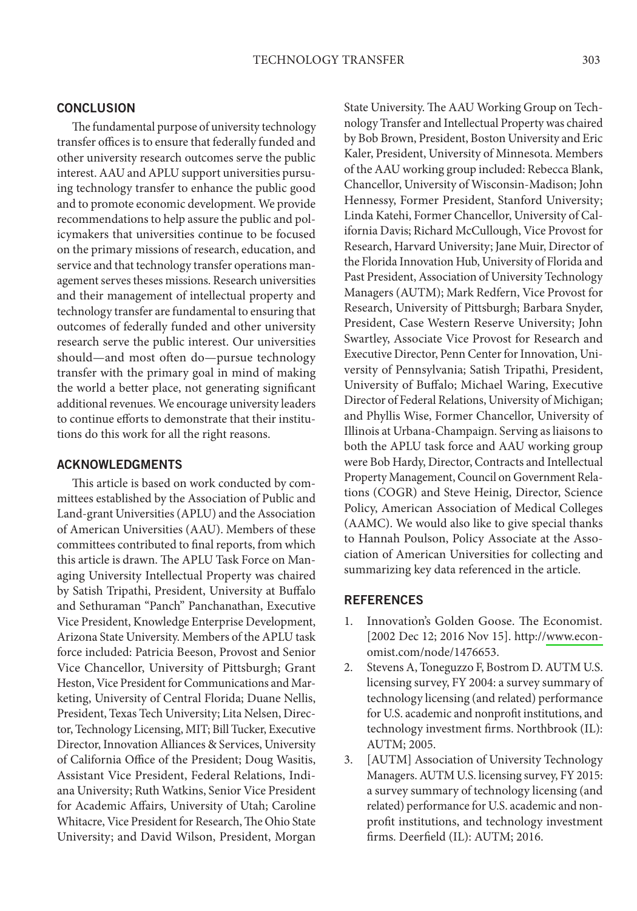## **CONCLUSION**

The fundamental purpose of university technology transfer offices is to ensure that federally funded and other university research outcomes serve the public interest. AAU and APLU support universities pursuing technology transfer to enhance the public good and to promote economic development. We provide recommendations to help assure the public and policymakers that universities continue to be focused on the primary missions of research, education, and service and that technology transfer operations management serves theses missions. Research universities and their management of intellectual property and technology transfer are fundamental to ensuring that outcomes of federally funded and other university research serve the public interest. Our universities should—and most often do—pursue technology transfer with the primary goal in mind of making the world a better place, not generating significant additional revenues. We encourage university leaders to continue efforts to demonstrate that their institutions do this work for all the right reasons.

#### **ACKNOWLEDGMENTS**

This article is based on work conducted by committees established by the Association of Public and Land-grant Universities (APLU) and the Association of American Universities (AAU). Members of these committees contributed to final reports, from which this article is drawn. The APLU Task Force on Managing University Intellectual Property was chaired by Satish Tripathi, President, University at Buffalo and Sethuraman "Panch" Panchanathan, Executive Vice President, Knowledge Enterprise Development, Arizona State University. Members of the APLU task force included: Patricia Beeson, Provost and Senior Vice Chancellor, University of Pittsburgh; Grant Heston, Vice President for Communications and Marketing, University of Central Florida; Duane Nellis, President, Texas Tech University; Lita Nelsen, Director, Technology Licensing, MIT; Bill Tucker, Executive Director, Innovation Alliances & Services, University of California Office of the President; Doug Wasitis, Assistant Vice President, Federal Relations, Indiana University; Ruth Watkins, Senior Vice President for Academic Affairs, University of Utah; Caroline Whitacre, Vice President for Research, The Ohio State University; and David Wilson, President, Morgan

State University. The AAU Working Group on Technology Transfer and Intellectual Property was chaired by Bob Brown, President, Boston University and Eric Kaler, President, University of Minnesota. Members of the AAU working group included: Rebecca Blank, Chancellor, University of Wisconsin-Madison; John Hennessy, Former President, Stanford University; Linda Katehi, Former Chancellor, University of California Davis; Richard McCullough, Vice Provost for Research, Harvard University; Jane Muir, Director of the Florida Innovation Hub, University of Florida and Past President, Association of University Technology Managers (AUTM); Mark Redfern, Vice Provost for Research, University of Pittsburgh; Barbara Snyder, President, Case Western Reserve University; John Swartley, Associate Vice Provost for Research and Executive Director, Penn Center for Innovation, University of Pennsylvania; Satish Tripathi, President, University of Buffalo; Michael Waring, Executive Director of Federal Relations, University of Michigan; and Phyllis Wise, Former Chancellor, University of Illinois at Urbana-Champaign. Serving as liaisons to both the APLU task force and AAU working group were Bob Hardy, Director, Contracts and Intellectual Property Management, Council on Government Relations (COGR) and Steve Heinig, Director, Science Policy, American Association of Medical Colleges (AAMC). We would also like to give special thanks to Hannah Poulson, Policy Associate at the Association of American Universities for collecting and summarizing key data referenced in the article.

# **REFERENCES**

- 1. Innovation's Golden Goose. The Economist. [2002 Dec 12; 2016 Nov 15]. http:/[/www.econ](http://www.econ-)omist.com/node/1476653.
- 2. Stevens A, Toneguzzo F, Bostrom D. AUTM U.S. licensing survey, FY 2004: a survey summary of technology licensing (and related) performance for U.S. academic and nonprofit institutions, and technology investment firms. Northbrook (IL): AUTM; 2005.
- 3. [AUTM] Association of University Technology Managers. AUTM U.S. licensing survey, FY 2015: a survey summary of technology licensing (and related) performance for U.S. academic and nonprofit institutions, and technology investment firms. Deerfield (IL): AUTM; 2016.